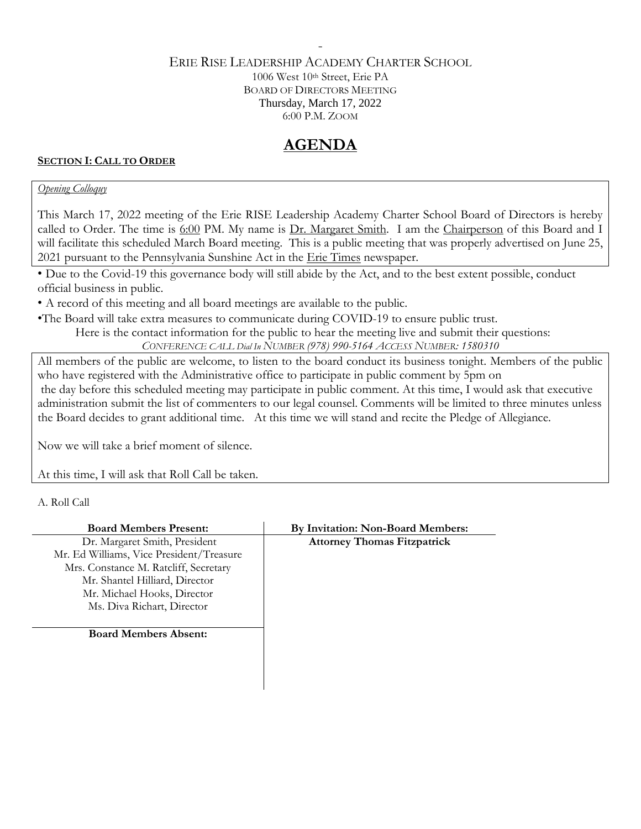#### ERIE RISE LEADERSHIP ACADEMY CHARTER SCHOOL 1006 West 10th Street, Erie PA BOARD OF DIRECTORS MEETING Thursday, March 17, 2022 6:00 P.M. ZOOM

-

# **AGENDA**

### **SECTION I: CALL TO ORDER**

#### *Opening Colloquy*

This March 17, 2022 meeting of the Erie RISE Leadership Academy Charter School Board of Directors is hereby called to Order. The time is 6:00 PM. My name is Dr. Margaret Smith. I am the Chairperson of this Board and I will facilitate this scheduled March Board meeting. This is a public meeting that was properly advertised on June 25, 2021 pursuant to the Pennsylvania Sunshine Act in the Erie Times newspaper.

• Due to the Covid-19 this governance body will still abide by the Act, and to the best extent possible, conduct official business in public.

• A record of this meeting and all board meetings are available to the public.

•The Board will take extra measures to communicate during COVID-19 to ensure public trust.

Here is the contact information for the public to hear the meeting live and submit their questions: *CONFERENCE CALL Dial In NUMBER (978) 990-5164 ACCESS NUMBER: 1580310*

All members of the public are welcome, to listen to the board conduct its business tonight. Members of the public

who have registered with the Administrative office to participate in public comment by 5pm on the day before this scheduled meeting may participate in public comment. At this time, I would ask that executive administration submit the list of commenters to our legal counsel. Comments will be limited to three minutes unless the Board decides to grant additional time. At this time we will stand and recite the Pledge of Allegiance.

Now we will take a brief moment of silence.

At this time, I will ask that Roll Call be taken.

A. Roll Call

| <b>Board Members Present:</b>            | By Invitation: Non-Board Members:  |
|------------------------------------------|------------------------------------|
| Dr. Margaret Smith, President            | <b>Attorney Thomas Fitzpatrick</b> |
| Mr. Ed Williams, Vice President/Treasure |                                    |
| Mrs. Constance M. Ratcliff, Secretary    |                                    |
| Mr. Shantel Hilliard, Director           |                                    |
| Mr. Michael Hooks, Director              |                                    |
| Ms. Diva Richart, Director               |                                    |
| <b>Board Members Absent:</b>             |                                    |
|                                          |                                    |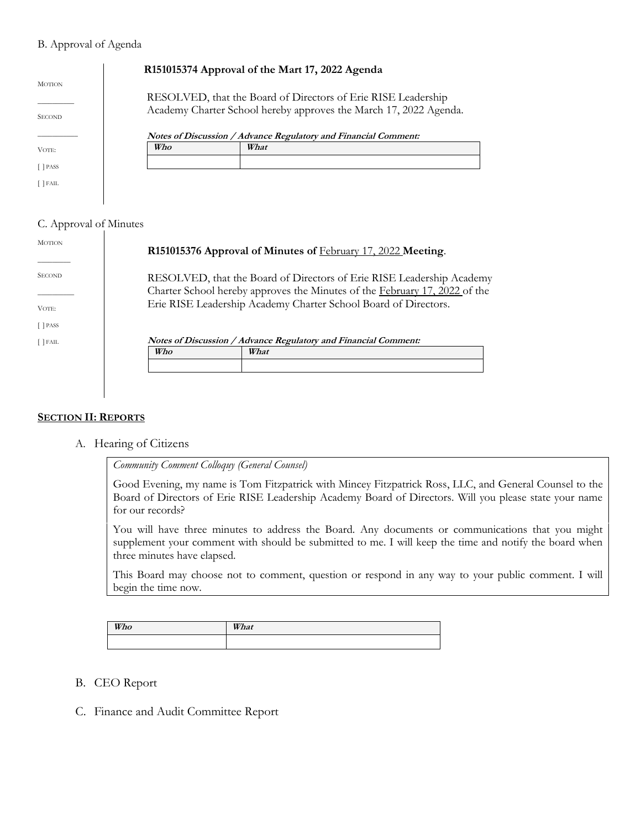#### B. Approval of Agenda

|                                |     | R151015374 Approval of the Mart 17, 2022 Agenda                                                                                    |
|--------------------------------|-----|------------------------------------------------------------------------------------------------------------------------------------|
| <b>MOTION</b><br><b>SECOND</b> |     | RESOLVED, that the Board of Directors of Erie RISE Leadership<br>Academy Charter School hereby approves the March 17, 2022 Agenda. |
|                                |     | Notes of Discussion / Advance Regulatory and Financial Comment:                                                                    |
| VOTE:                          | Who | What                                                                                                                               |
| <b>PASS</b>                    |     |                                                                                                                                    |
| [ ] FAIL                       |     |                                                                                                                                    |
|                                |     |                                                                                                                                    |

#### C. Approval of Minutes

| <b>MOTION</b> |                                                                 | R151015376 Approval of Minutes of February 17, 2022 Meeting.                                                                                                                                                           |
|---------------|-----------------------------------------------------------------|------------------------------------------------------------------------------------------------------------------------------------------------------------------------------------------------------------------------|
| <b>SECOND</b> |                                                                 | RESOLVED, that the Board of Directors of Erie RISE Leadership Academy<br>Charter School hereby approves the Minutes of the February 17, 2022 of the<br>Erie RISE Leadership Academy Charter School Board of Directors. |
| VOTE:         |                                                                 |                                                                                                                                                                                                                        |
| $[$ PASS      |                                                                 |                                                                                                                                                                                                                        |
| $[$ FAIL      | Notes of Discussion / Advance Regulatory and Financial Comment: |                                                                                                                                                                                                                        |
|               | Who                                                             | What                                                                                                                                                                                                                   |
|               |                                                                 |                                                                                                                                                                                                                        |
|               |                                                                 |                                                                                                                                                                                                                        |
|               |                                                                 |                                                                                                                                                                                                                        |
|               |                                                                 |                                                                                                                                                                                                                        |

#### **SECTION II: REPORTS**

A. Hearing of Citizens

*Community Comment Colloquy (General Counsel)*

Good Evening, my name is Tom Fitzpatrick with Mincey Fitzpatrick Ross, LLC, and General Counsel to the Board of Directors of Erie RISE Leadership Academy Board of Directors. Will you please state your name for our records?

You will have three minutes to address the Board. Any documents or communications that you might supplement your comment with should be submitted to me. I will keep the time and notify the board when three minutes have elapsed.

This Board may choose not to comment, question or respond in any way to your public comment. I will begin the time now.

| Who | What |
|-----|------|
|     |      |

- B. CEO Report
- C. Finance and Audit Committee Report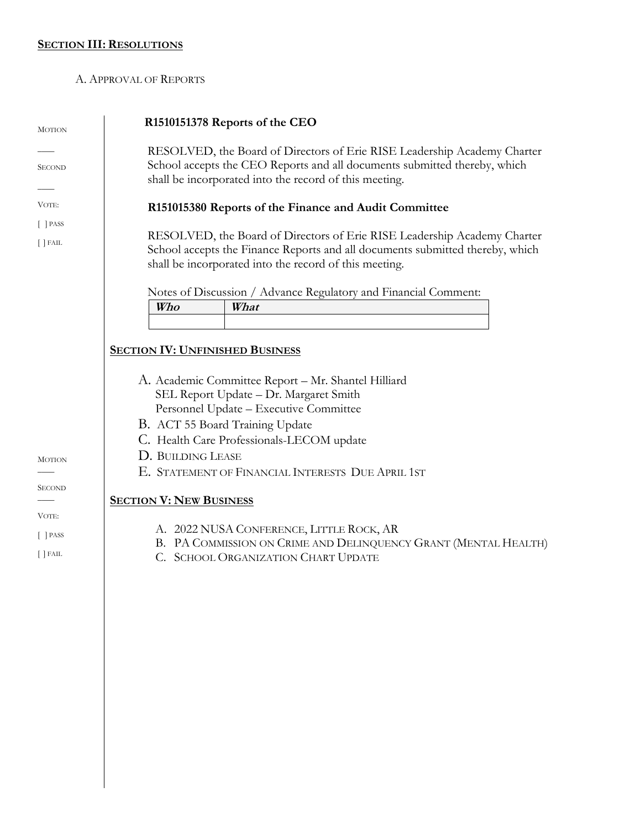## **SECTION III: RESOLUTIONS**

#### A. APPROVAL OF REPORTS

| <b>MOTION</b>                                              | R1510151378 Reports of the CEO                                                                                                                                                                                                                                    |  |  |
|------------------------------------------------------------|-------------------------------------------------------------------------------------------------------------------------------------------------------------------------------------------------------------------------------------------------------------------|--|--|
| <b>SECOND</b>                                              | RESOLVED, the Board of Directors of Erie RISE Leadership Academy Charter<br>School accepts the CEO Reports and all documents submitted thereby, which<br>shall be incorporated into the record of this meeting.                                                   |  |  |
| VOTE:                                                      | R151015380 Reports of the Finance and Audit Committee                                                                                                                                                                                                             |  |  |
| $[$ PASS<br>$[$ $]$ FAIL                                   | RESOLVED, the Board of Directors of Erie RISE Leadership Academy Charter<br>School accepts the Finance Reports and all documents submitted thereby, which<br>shall be incorporated into the record of this meeting.                                               |  |  |
|                                                            | Notes of Discussion / Advance Regulatory and Financial Comment:                                                                                                                                                                                                   |  |  |
|                                                            | What<br>Who                                                                                                                                                                                                                                                       |  |  |
|                                                            | <b>SECTION IV: UNFINISHED BUSINESS</b><br>A. Academic Committee Report - Mr. Shantel Hilliard<br>SEL Report Update - Dr. Margaret Smith<br>Personnel Update - Executive Committee<br>B. ACT 55 Board Training Update<br>C. Health Care Professionals-LECOM update |  |  |
| <b>MOTION</b>                                              | D. BUILDING LEASE<br>E. STATEMENT OF FINANCIAL INTERESTS DUE APRIL 1ST                                                                                                                                                                                            |  |  |
| <b>SECOND</b><br>VOTE:<br>$[$ PASS<br>$\left[\right]$ FAIL | <b>SECTION V: NEW BUSINESS</b><br>A. 2022 NUSA CONFERENCE, LITTLE ROCK, AR<br>B. PA COMMISSION ON CRIME AND DELINQUENCY GRANT (MENTAL HEALTH)<br>C. SCHOOL ORGANIZATION CHART UPDATE                                                                              |  |  |